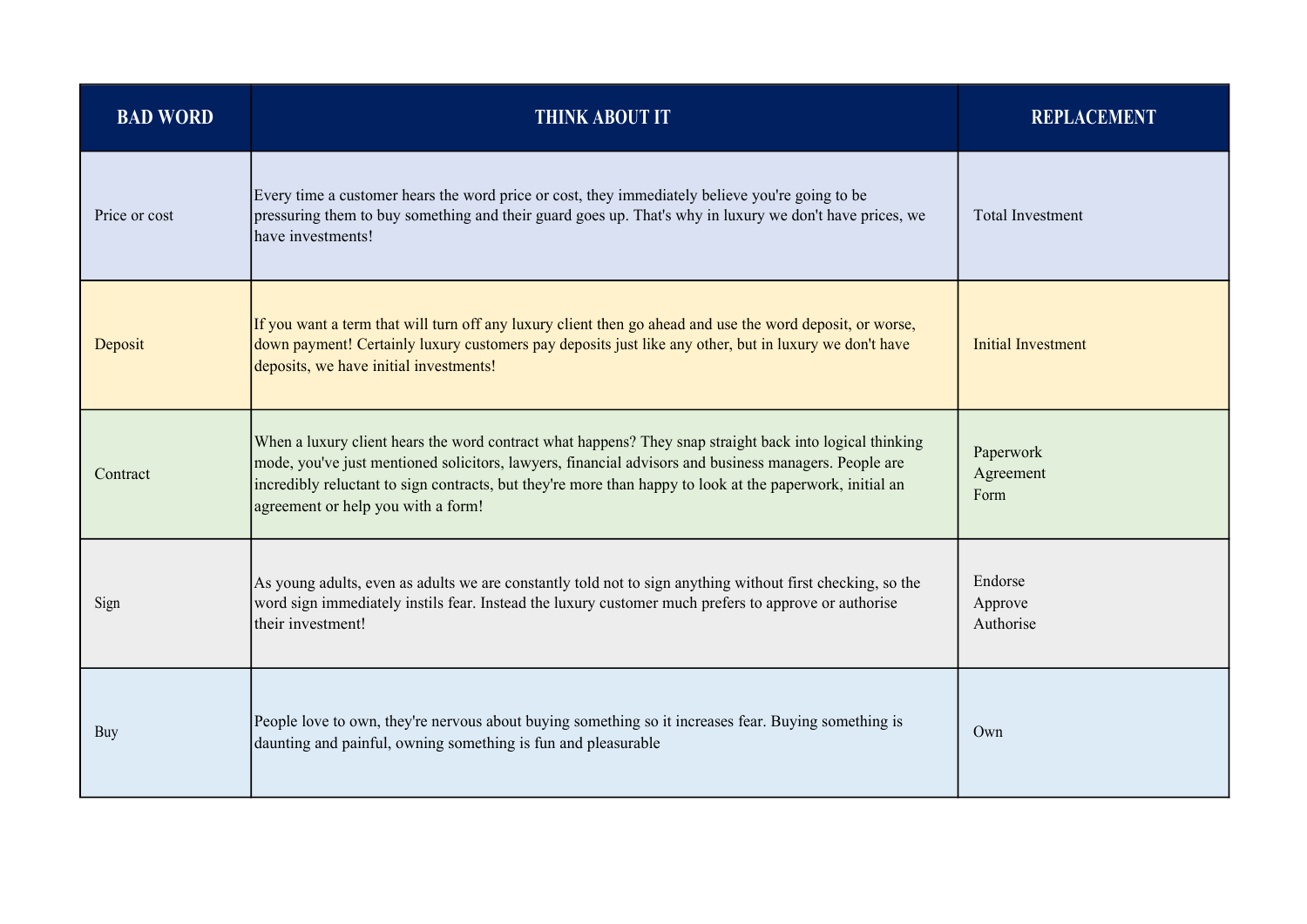| <b>BAD WORD</b> | <b>THINK ABOUT IT</b>                                                                                                                                                                                                                                                                                                                                               | <b>REPLACEMENT</b>              |
|-----------------|---------------------------------------------------------------------------------------------------------------------------------------------------------------------------------------------------------------------------------------------------------------------------------------------------------------------------------------------------------------------|---------------------------------|
| Price or cost   | Every time a customer hears the word price or cost, they immediately believe you're going to be<br>pressuring them to buy something and their guard goes up. That's why in luxury we don't have prices, we<br>have investments!                                                                                                                                     | <b>Total Investment</b>         |
| Deposit         | If you want a term that will turn off any luxury client then go ahead and use the word deposit, or worse,<br>down payment! Certainly luxury customers pay deposits just like any other, but in luxury we don't have<br>deposits, we have initial investments!                                                                                                       | <b>Initial Investment</b>       |
| Contract        | When a luxury client hears the word contract what happens? They snap straight back into logical thinking<br>mode, you've just mentioned solicitors, lawyers, financial advisors and business managers. People are<br>incredibly reluctant to sign contracts, but they're more than happy to look at the paperwork, initial an<br>agreement or help you with a form! | Paperwork<br>Agreement<br>Form  |
| Sign            | As young adults, even as adults we are constantly told not to sign anything without first checking, so the<br>word sign immediately instils fear. Instead the luxury customer much prefers to approve or authorise<br>their investment!                                                                                                                             | Endorse<br>Approve<br>Authorise |
| Buy             | People love to own, they're nervous about buying something so it increases fear. Buying something is<br>daunting and painful, owning something is fun and pleasurable                                                                                                                                                                                               | Own                             |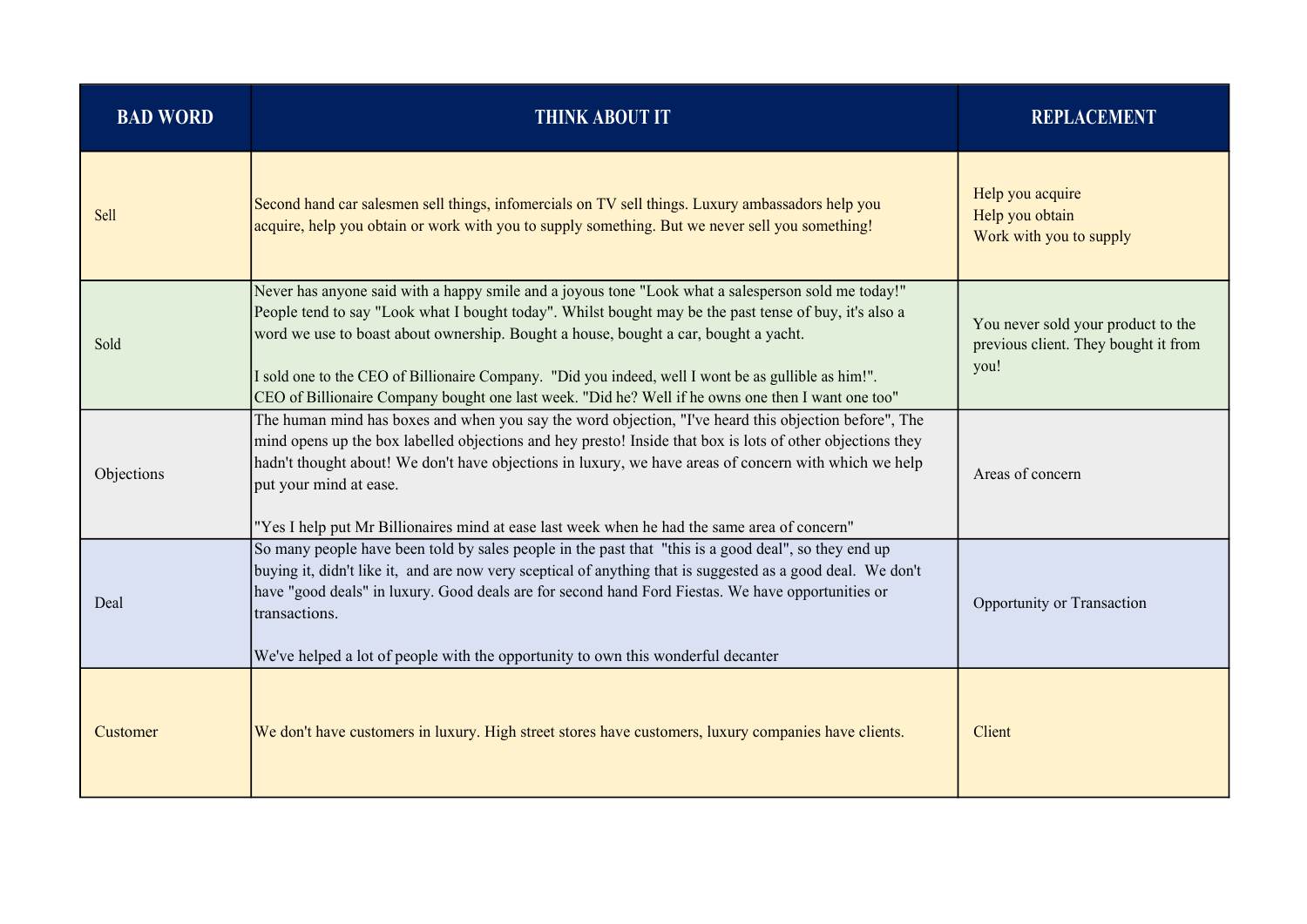| <b>BAD WORD</b> | <b>THINK ABOUT IT</b>                                                                                                                                                                                                                                                                                                                                                                                                                                                                                             | <b>REPLACEMENT</b>                                                                 |
|-----------------|-------------------------------------------------------------------------------------------------------------------------------------------------------------------------------------------------------------------------------------------------------------------------------------------------------------------------------------------------------------------------------------------------------------------------------------------------------------------------------------------------------------------|------------------------------------------------------------------------------------|
| Sell            | Second hand car salesmen sell things, infomercials on TV sell things. Luxury ambassadors help you<br>acquire, help you obtain or work with you to supply something. But we never sell you something!                                                                                                                                                                                                                                                                                                              | Help you acquire<br>Help you obtain<br>Work with you to supply                     |
| Sold            | Never has anyone said with a happy smile and a joyous tone "Look what a salesperson sold me today!"<br>People tend to say "Look what I bought today". Whilst bought may be the past tense of buy, it's also a<br>word we use to boast about ownership. Bought a house, bought a car, bought a yacht.<br>I sold one to the CEO of Billionaire Company. "Did you indeed, well I wont be as gullible as him!".<br>CEO of Billionaire Company bought one last week. "Did he? Well if he owns one then I want one too" | You never sold your product to the<br>previous client. They bought it from<br>you! |
| Objections      | The human mind has boxes and when you say the word objection, "I've heard this objection before", The<br>mind opens up the box labelled objections and hey presto! Inside that box is lots of other objections they<br>hadn't thought about! We don't have objections in luxury, we have areas of concern with which we help<br>put your mind at ease.<br>"Yes I help put Mr Billionaires mind at ease last week when he had the same area of concern"                                                            | Areas of concern                                                                   |
| Deal            | So many people have been told by sales people in the past that "this is a good deal", so they end up<br>buying it, didn't like it, and are now very sceptical of anything that is suggested as a good deal. We don't<br>have "good deals" in luxury. Good deals are for second hand Ford Fiestas. We have opportunities or<br>transactions.<br>We've helped a lot of people with the opportunity to own this wonderful decanter                                                                                   | Opportunity or Transaction                                                         |
| Customer        | We don't have customers in luxury. High street stores have customers, luxury companies have clients.                                                                                                                                                                                                                                                                                                                                                                                                              | Client                                                                             |